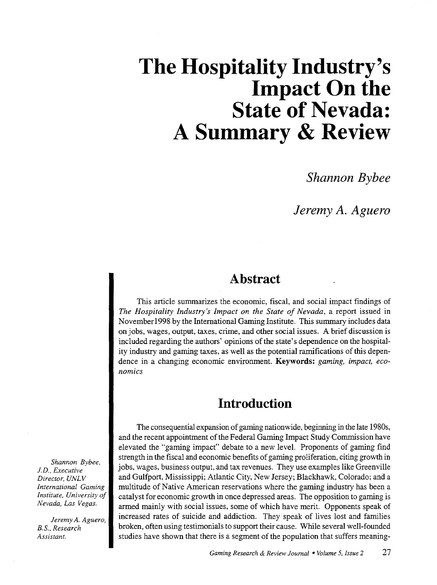# **The Hospitality Industry's l**mpact On the **State of Nevada: A Summary & Review**

*Shannon Bybee* 

*Jeremy A. Aguero* 

## **Abstract**

This article summarizes the economic, fiscal, and social impact findings of *The Hospitality Industry's Impact on the State of Nevada,* a report issued in November1998 by the International Gaming Institute. This summary includes data on jobs, wages, output, taxes, crime, and other social issues. A brief discussion is included regarding the authors' opinions of the state's dependence on the hospitality industry and gaming taxes, as well as the potential ramifications of this dependence in a changing economic environment. Keywords: *gaming, impact, economics* 

# **Introduction**

The consequential expansion of gaming nationwide, beginning in the late 1980s, and the recent appointment of the Federal Gaming Impact Study Commission have elevated the "gaming impact" debate to a new level. Proponents of gaming find strength in the fiscal and economic benefits of gaming proliferation, citing growth in jobs, wages, business output, and tax revenues. They use examples like Greenville and Gulfport, Mississippi; Atlantic City, New Jersey; Blackhawk, Colorado; and a multitude of Native American reservations where the gaming industry has been a catalyst for economic growth in once depressed areas. The opposition to gaming is armed mainly with social issues, some of which have merit. Opponents speak of increased rates of suicide and addiction. They speak of lives lost and families broken, often using testimonials to support their cause. While several well-founded studies have shown that there is a segment of the population that suffers meaning-

*Shannon Bybee, J.D., Executive*   $Director, UNLV$ *International Gaming Institute, University of Nevada, Las Vegas.* 

*Jeremy A. Aguero, B.S., Research Assistant.*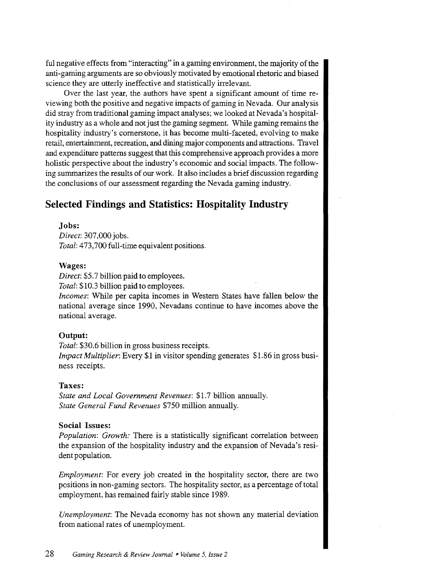ful negative effects from "interacting" in a gaming environment, the majority of the anti-gaming arguments are so obviously motivated by emotional rhetoric and biased science they are utterly ineffective and statistically irrelevant.

Over the last year, the authors have spent a significant amount of time reviewing both the positive and negative impacts of gaming in Nevada. Our analysis did stray from traditional gaming impact analyses; we looked at Nevada's hospitality industry as a whole and not just the gaming segment. While gaming remains the hospitality industry's cornerstone, it has become multi-faceted, evolving to make retail, entertainment, recreation, and dining major components and attractions. Travel and expenditure patterns suggest that this comprehensive approach provides a more holistic perspective about the industry's economic and social impacts. The following summarizes the results of our work. It also includes a brief discussion regarding the conclusions of our assessment regarding the Nevada gaming industry.

### Selected Findings and Statistics: Hospitality Industry

#### Jobs:

*Direct:* 307,000 jobs. *Total:* 473,700 full-time equivalent positions.

#### Wages:

*Direct:* \$5.7 billion paid to employees.

*Total:* \$10.3 billion paid to employees.

*Incomes:* While per capita incomes in Western States have fallen below the national average since 1990, Nevadans continue to have incomes above the national average.

#### Output:

*Total:* \$30.6 billion in gross business receipts. *Impact Multiplier:* Every \$1 in visitor spending generates \$1.86 in gross business receipts.

#### Taxes:

*State and Local Government Revenues:* \$1.7 billion annually. *State General Fund Revenues* \$750 million annually.

#### Social Issues:

*Population: Growth:* There is a statistically significant correlation between the expansion of the hospitality industry and the expansion of Nevada's resident population.

*Employment:* For every job created in the hospitality sector, there are two positions in non-gaming sectors. The hospitality sector, as a percentage of total employment, has remained fairly stable since 1989.

*Unemployment:* The Nevada economy has not shown any material deviation from national rates of unemployment.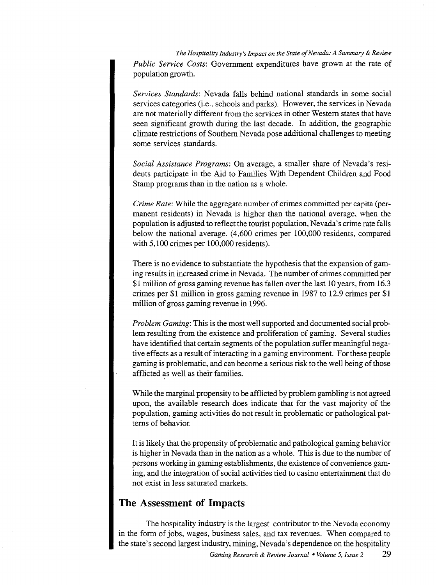*The Hospitality Industry's Impact on the State of Nevada: A Summary* & *Review Public Service Costs:* Government expenditures have grown at the rate of population growth.

*Services Standards:* Nevada falls behind national standards in some social services categories (i.e., schools and parks). However, the services in Nevada are not materially different from the services in other Western states that have seen significant growth during the last decade. In addition, the geographic climate restrictions of Southern Nevada pose additional challenges to meeting some services standards.

*Social Assistance Programs:* On average, a smaller share of Nevada's residents participate in the Aid to Families With Dependent Children and Food Stamp programs than in the nation as a whole.

*Crime Rate:* While the aggregate number of crimes committed per capita (permanent residents) in Nevada is higher than the national average, when the population is adjusted to reflect the tourist population, Nevada's crime rate falls below the national average. (4,600 crimes per 100,000 residents, compared with 5,100 crimes per 100,000 residents).

There is no evidence to substantiate the hypothesis that the expansion of gaming results in increased crime in Nevada. The number of crimes committed per \$1 million of gross gaming revenue has fallen over the last 10 years, from 16.3 crimes per \$1 million in gross gaming revenue in 1987 to 12.9 crimes per \$1 million of gross gaming revenue in 1996.

*Problem Gaming:* This is the most well supported and documented social problem resulting from the existence and proliferation of gaming. Several studies have identified that certain segments of the population suffer meaningful negative effects as a result of interacting in a gaming environment. For these people gaming is problematic, and can become a serious risk to the well being of those afflicted as well as their families.

While the marginal propensity to be afflicted by problem gambling is not agreed upon, the available research does indicate that for the vast majority of the population, gaming activities do not result in problematic or pathological patterns of behavior.

It is likely that the propensity of problematic and pathological gaming behavior is higher in Nevada than in the nation as a whole. This is due to the number of persons working in gaming establishments, the existence of convenience gaming, and the integration of social activities tied to casino entertainment that do not exist in less saturated markets.

## **The Assessment of Impacts**

The hospitality industry is the largest contributor to the Nevada economy in the form of jobs, wages, business sales, and tax revenues. When compared to the state's second largest industry, mining, Nevada's dependence on the hospitality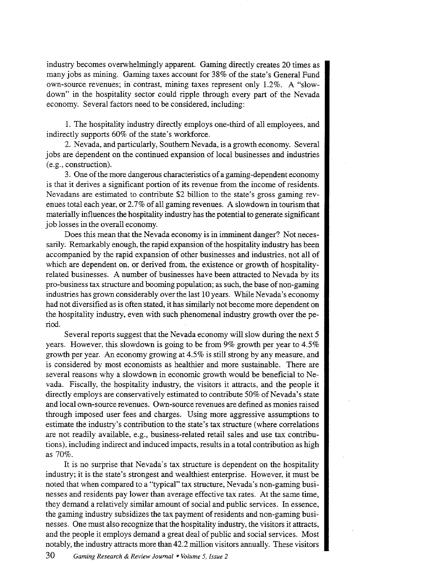industry becomes overwhelmingly apparent. Gaming directly creates 20 times as many jobs as mining. Gaming taxes account for 38% of the state's General Fund own-source revenues; in contrast, mining taxes represent only 1.2%. A "slowdown" in the hospitality sector could ripple through every part of the Nevada economy. Several factors need to be considered, including:

1. The hospitality industry directly employs one-third of all employees, and indirectly supports 60% of the state's workforce.

2. Nevada, and particularly, Southern Nevada, is a growth economy. Several jobs are dependent on the continued expansion of local businesses and industries (e.g., construction).

3. One of the more dangerous characteristics of a gaming-dependent economy is that it derives a significant portion of its revenue from the income of residents. Nevadans are estimated to contribute \$2 billion to the state's gross gaming revenues total each year, or 2.7% of all gaming revenues. A slowdown in tourism that materially influences the hospitality industry has the potential to generate significant job losses in the overall economy.

Does this mean that the Nevada economy is in imminent danger? Not necessarily. Remarkably enough, the rapid expansion of the hospitality industry has been accompanied by the rapid expansion of other businesses and industries, not all of which are dependent on, or derived from, the existence or growth of hospitalityrelated businesses. A number of businesses have been attracted to Nevada by its pro-business tax structure and booming population; as such, the base of non-gaming industries has grown considerably over the last 10 years. While Nevada's economy had not diversified as is often stated, it has similarly not become more dependent on the hospitality industry, even with such phenomenal industry growth over the period.

Several reports suggest that the Nevada economy will slow during the next 5 years. However, this slowdown is going to be from 9% growth per year to 4.5% growth per year. An economy growing at 4.5% is still strong by any measure, and is considered by most economists as healthier and more sustainable. There are several reasons why a slowdown in economic growth would be beneficial to Nevada. Fiscally, the hospitality industry, the visitors it attracts, and the people it directly employs are conservatively estimated to contribute 50% of Nevada's state and local own-source revenues. Own-source revenues are defined as monies raised through imposed user fees and charges. Using more aggressive assumptions to estimate the industry's contribution to the state's tax structure (where correlations are not readily available, e.g., business-related retail sales and use tax contributions), including indirect and induced impacts, results in a total contribution as high as 70%.

It is no surprise that Nevada's tax structure is dependent on the hospitality industry; it is the state's strongest and wealthiest enterprise. However, it must be noted that when compared to a "typical" tax structure, Nevada's non-gaming businesses and residents pay lower than average effective tax rates. At the same time, they demand a relatively similar amount of social and public services. In essence, the gaming industry subsidizes the tax payment of residents and non-gaming businesses. One must also recognize that the hospitality industry, the visitors it attracts, and the people it employs demand a great deal of public and social services. Most notably, the industry attracts more than 42.2 million visitors annually. These visitors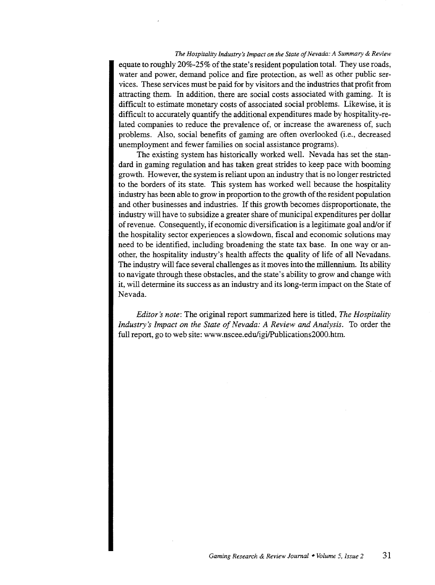*The Hospitality Industry s Impact on the State of Nevada: A Summary* & *Review*  equate to roughly 20%-25% of the state's resident population total. They use roads, water and power, demand police and fire protection, as well as other public services. These services must be paid for by visitors and the industries that profit from attracting them. In addition, there are social costs associated with gaming. It is difficult to estimate monetary costs of associated social problems. Likewise, it is difficult to accurately quantify the additional expenditures made by hospitality-related companies to reduce the prevalence of, or increase the awareness of, such problems. Also, social benefits of gaming are often overlooked (i.e., decreased unemployment and fewer families on social assistance programs).

The existing system has historically worked well. Nevada has set the standard in gaming regulation and has taken great strides to keep pace with booming growth. However, the system is reliant upon an industry that is no longer restricted to the borders of its state. This system has worked well because the hospitality industry has been able to grow in proportion to the growth of the resident population and other businesses and industries. If this growth becomes disproportionate, the industry will have to subsidize a greater share of municipal expenditures per dollar of revenue. Consequently, if economic diversification is a legitimate goal and/or if the hospitality sector experiences a slowdown, fiscal and economic solutions may need to be identified, including broadening the state tax base. In one way or another, the hospitality industry's health affects the quality of life of all Nevadans. The industry will face several challenges as it moves into the millennium. Its ability to navigate through these obstacles, and the state's ability to grow and change with it, will determine its success as an industry and its long-term impact on the State of Nevada.

*Editor's note:* The original report summarized here is titled, *The Hospitality Industry's Impact on the State of Nevada: A Review and Analysis.* To order the full report, go to web site: www.nscee.edu/igi/Publications2000.htm.